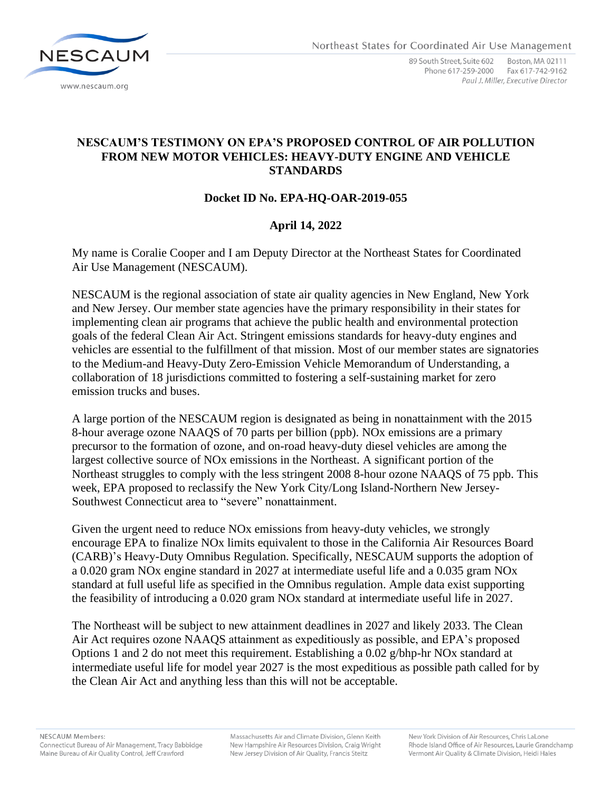89 South Street, Suite 602 Boston, MA 02111 Phone 617-259-2000 Fax 617-742-9162 Paul J. Miller, Executive Director

## **NESCAUM'S TESTIMONY ON EPA'S PROPOSED CONTROL OF AIR POLLUTION FROM NEW MOTOR VEHICLES: HEAVY-DUTY ENGINE AND VEHICLE STANDARDS**

## **Docket ID No. EPA-HQ-OAR-2019-055**

## **April 14, 2022**

My name is Coralie Cooper and I am Deputy Director at the Northeast States for Coordinated Air Use Management (NESCAUM).

NESCAUM is the regional association of state air quality agencies in New England, New York and New Jersey. Our member state agencies have the primary responsibility in their states for implementing clean air programs that achieve the public health and environmental protection goals of the federal Clean Air Act. Stringent emissions standards for heavy-duty engines and vehicles are essential to the fulfillment of that mission. Most of our member states are signatories to the Medium-and Heavy-Duty Zero-Emission Vehicle Memorandum of Understanding, a collaboration of 18 jurisdictions committed to fostering a self-sustaining market for zero emission trucks and buses.

A large portion of the NESCAUM region is designated as being in nonattainment with the 2015 8-hour average ozone NAAQS of 70 parts per billion (ppb). NOx emissions are a primary precursor to the formation of ozone, and on-road heavy-duty diesel vehicles are among the largest collective source of NOx emissions in the Northeast. A significant portion of the Northeast struggles to comply with the less stringent 2008 8-hour ozone NAAQS of 75 ppb. This week, EPA proposed to reclassify the New York City/Long Island-Northern New Jersey-Southwest Connecticut area to "severe" nonattainment.

Given the urgent need to reduce NOx emissions from heavy-duty vehicles, we strongly encourage EPA to finalize NOx limits equivalent to those in the California Air Resources Board (CARB)'s Heavy-Duty Omnibus Regulation. Specifically, NESCAUM supports the adoption of a 0.020 gram NOx engine standard in 2027 at intermediate useful life and a 0.035 gram NOx standard at full useful life as specified in the Omnibus regulation. Ample data exist supporting the feasibility of introducing a 0.020 gram NOx standard at intermediate useful life in 2027.

The Northeast will be subject to new attainment deadlines in 2027 and likely 2033. The Clean Air Act requires ozone NAAQS attainment as expeditiously as possible, and EPA's proposed Options 1 and 2 do not meet this requirement. Establishing a 0.02 g/bhp-hr NOx standard at intermediate useful life for model year 2027 is the most expeditious as possible path called for by the Clean Air Act and anything less than this will not be acceptable.